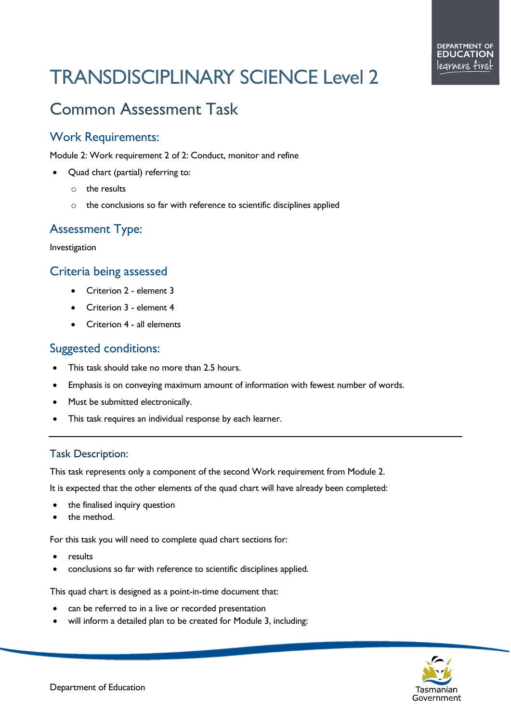# TRANSDISCIPLINARY SCIENCE Level 2

# Common Assessment Task

# Work Requirements:

Module 2: Work requirement 2 of 2: Conduct, monitor and refine

- Quad chart (partial) referring to:
	- $\circ$  the results
	- o the conclusions so far with reference to scientific disciplines applied

# Assessment Type:

Investigation

## Criteria being assessed

- Criterion 2 element 3
- Criterion 3 element 4
- Criterion 4 all elements

## Suggested conditions:

- This task should take no more than 2.5 hours.
- Emphasis is on conveying maximum amount of information with fewest number of words.
- Must be submitted electronically.
- This task requires an individual response by each learner.

#### Task Description:

This task represents only a component of the second Work requirement from Module 2.

It is expected that the other elements of the quad chart will have already been completed:

- the finalised inquiry question
- the method.

For this task you will need to complete quad chart sections for:

- results
- conclusions so far with reference to scientific disciplines applied.

This quad chart is designed as a point-in-time document that:

- can be referred to in a live or recorded presentation
- will inform a detailed plan to be created for Module 3, including: